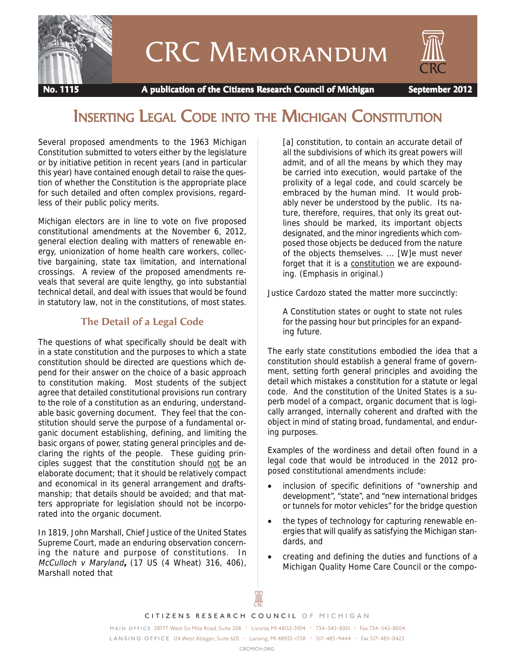

# CRC Memorandum



 **No. 1115 A publication of the Citizens Research Council of Michigan September 2012**

## INSERTING LEGAL CODE INTO THE MICHIGAN CONSTITUTION

Several proposed amendments to the 1963 Michigan Constitution submitted to voters either by the legislature or by initiative petition in recent years (and in particular this year) have contained enough detail to raise the question of whether the Constitution is the appropriate place for such detailed and often complex provisions, regardless of their public policy merits.

Michigan electors are in line to vote on five proposed constitutional amendments at the November 6, 2012, general election dealing with matters of renewable energy, unionization of home health care workers, collective bargaining, state tax limitation, and international crossings. A review of the proposed amendments reveals that several are quite lengthy, go into substantial technical detail, and deal with issues that would be found in statutory law, not in the constitutions, of most states.

#### **The Detail of a Legal Code**

The questions of what specifically should be dealt with in a state constitution and the purposes to which a state constitution should be directed are questions which depend for their answer on the choice of a basic approach to constitution making. Most students of the subject agree that detailed constitutional provisions run contrary to the role of a constitution as an enduring, understandable basic governing document. They feel that the constitution should serve the purpose of a fundamental organic document establishing, defining, and limiting the basic organs of power, stating general principles and declaring the rights of the people. These guiding principles suggest that the constitution should not be an elaborate document; that it should be relatively compact and economical in its general arrangement and draftsmanship; that details should be avoided; and that matters appropriate for legislation should not be incorporated into the organic document.

In 1819, John Marshall, Chief Justice of the United States Supreme Court, made an enduring observation concerning the nature and purpose of constitutions. In McCulloch v Maryland**,** (17 US (4 Wheat) 316, 406), Marshall noted that

[a] constitution, to contain an accurate detail of all the subdivisions of which its great powers will admit, and of all the means by which they may be carried into execution, would partake of the prolixity of a legal code, and could scarcely be embraced by the human mind. It would probably never be understood by the public. Its nature, therefore, requires, that only its great outlines should be marked, its important objects designated, and the minor ingredients which composed those objects be deduced from the nature of the objects themselves. ... [W]e must never forget that it is a constitution we are expounding. (Emphasis in original.)

Justice Cardozo stated the matter more succinctly:

A Constitution states or ought to state not rules for the passing hour but principles for an expanding future.

The early state constitutions embodied the idea that a constitution should establish a general frame of government, setting forth general principles and avoiding the detail which mistakes a constitution for a statute or legal code. And the constitution of the United States is a superb model of a compact, organic document that is logically arranged, internally coherent and drafted with the object in mind of stating broad, fundamental, and enduring purposes.

Examples of the wordiness and detail often found in a legal code that would be introduced in the 2012 proposed constitutional amendments include:

- inclusion of specific definitions of "ownership and development", "state", and "new international bridges or tunnels for motor vehicles" for the bridge question
- the types of technology for capturing renewable energies that will qualify as satisfying the Michigan standards, and
- creating and defining the duties and functions of a Michigan Quality Home Care Council or the compo-

I

*CITIZENS RESEARCH COUNCIL OF MICHIGAN*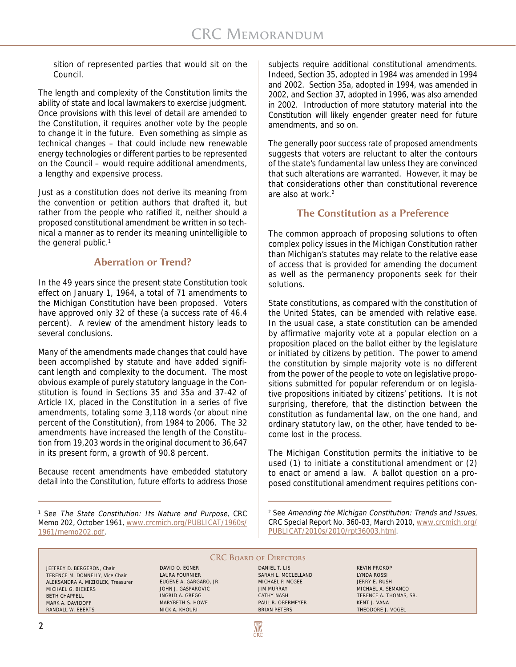sition of represented parties that would sit on the Council.

The length and complexity of the Constitution limits the ability of state and local lawmakers to exercise judgment. Once provisions with this level of detail are amended to the Constitution, it requires another vote by the people to change it in the future. Even something as simple as technical changes – that could include new renewable energy technologies or different parties to be represented on the Council – would require additional amendments, a lengthy and expensive process.

Just as a constitution does not derive its meaning from the convention or petition authors that drafted it, but rather from the people who ratified it, neither should a proposed constitutional amendment be written in so technical a manner as to render its meaning unintelligible to the general public.<sup>1</sup>

#### **Aberration or Trend?**

In the 49 years since the present state Constitution took effect on January 1, 1964, a total of 71 amendments to the Michigan Constitution have been proposed. Voters have approved only 32 of these (a success rate of 46.4 percent). A review of the amendment history leads to several conclusions.

Many of the amendments made changes that could have been accomplished by statute and have added significant length and complexity to the document. The most obvious example of purely statutory language in the Constitution is found in Sections 35 and 35a and 37-42 of Article IX, placed in the Constitution in a series of five amendments, totaling some 3,118 words (or about nine percent of the Constitution), from 1984 to 2006. The 32 amendments have increased the length of the Constitution from 19,203 words in the original document to 36,647 in its present form, a growth of 90.8 percent.

Because recent amendments have embedded statutory detail into the Constitution, future efforts to address those

<sup>1</sup> See The State Constitution: Its Nature and Purpose, CRC Memo 202, October 1961, www.crcmich.org/PUBLICAT/1960s/ 1961/memo202.pdf.

subjects require additional constitutional amendments. Indeed, Section 35, adopted in 1984 was amended in 1994 and 2002. Section 35a, adopted in 1994, was amended in 2002, and Section 37, adopted in 1996, was also amended in 2002. Introduction of more statutory material into the Constitution will likely engender greater need for future amendments, and so on.

The generally poor success rate of proposed amendments suggests that voters are reluctant to alter the contours of the state's fundamental law unless they are convinced that such alterations are warranted. However, it may be that considerations other than constitutional reverence are also at work.2

#### **The Constitution as a Preference**

The common approach of proposing solutions to often complex policy issues in the Michigan Constitution rather than Michigan's statutes may relate to the relative ease of access that is provided for amending the document as well as the permanency proponents seek for their solutions.

State constitutions, as compared with the constitution of the United States, can be amended with relative ease. In the usual case, a state constitution can be amended by affirmative majority vote at a popular election on a proposition placed on the ballot either by the legislature or initiated by citizens by petition. The power to amend the constitution by simple majority vote is no different from the power of the people to vote on legislative propositions submitted for popular referendum or on legislative propositions initiated by citizens' petitions. It is not surprising, therefore, that the distinction between the constitution as fundamental law, on the one hand, and ordinary statutory law, on the other, have tended to become lost in the process.

The Michigan Constitution permits the initiative to be used (1) to initiate a constitutional amendment or (2) to enact or amend a law. A ballot question on a proposed constitutional amendment requires petitions con-

<sup>2</sup> See Amending the Michigan Constitution: Trends and Issues, CRC Special Report No. 360-03, March 2010, www.crcmich.org/ PUBLICAT/2010s/2010/rpt36003.html.

#### **CRC BOARD OF DIRECTORS**

₩

JEFFREY D. BERGERON, Chair TERENCE M. DONNELLY, Vice Chair ALEKSANDRA A. MIZIOLEK, Treasurer MICHAEL G. BICKERS BETH CHAPPELL MARK A. DAVIDOFF RANDALL W. EBERTS

DAVID O. EGNER LAURA FOURNIER EUGENE A. GARGARO, JR. JOHN J. GASPAROVIC INGRID A. GREGG MARYBETH S. HOWE NICK A. KHOURI

DANIEL T. LIS SARAH L. MCCLELLAND MICHAEL P. MCGEE JIM MURRAY CATHY NASH PAUL R. OBERMEYER BRIAN PETERS

KEVIN PROKOP LYNDA ROSSI JERRY E. RUSH MICHAEL A. SEMANCO TERENCE A. THOMAS, SR. KENT J. VANA THEODORE J. VOGEL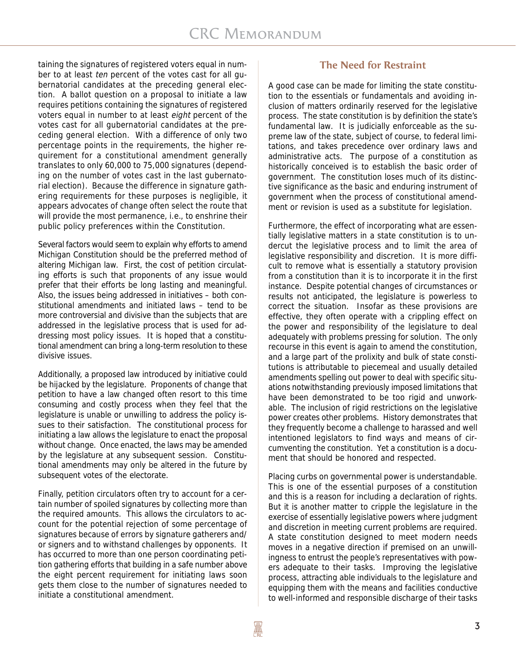taining the signatures of registered voters equal in number to at least ten percent of the votes cast for all gubernatorial candidates at the preceding general election. A ballot question on a proposal to initiate a law requires petitions containing the signatures of registered voters equal in number to at least eight percent of the votes cast for all gubernatorial candidates at the preceding general election. With a difference of only two percentage points in the requirements, the higher requirement for a constitutional amendment generally translates to only 60,000 to 75,000 signatures (depending on the number of votes cast in the last gubernatorial election). Because the difference in signature gathering requirements for these purposes is negligible, it appears advocates of change often select the route that will provide the most permanence, i.e., to enshrine their public policy preferences within the Constitution.

Several factors would seem to explain why efforts to amend Michigan Constitution should be the preferred method of altering Michigan law. First, the cost of petition circulating efforts is such that proponents of any issue would prefer that their efforts be long lasting and meaningful. Also, the issues being addressed in initiatives – both constitutional amendments and initiated laws – tend to be more controversial and divisive than the subjects that are addressed in the legislative process that is used for addressing most policy issues. It is hoped that a constitutional amendment can bring a long-term resolution to these divisive issues.

Additionally, a proposed law introduced by initiative could be hijacked by the legislature. Proponents of change that petition to have a law changed often resort to this time consuming and costly process when they feel that the legislature is unable or unwilling to address the policy issues to their satisfaction. The constitutional process for initiating a law allows the legislature to enact the proposal without change. Once enacted, the laws may be amended by the legislature at any subsequent session. Constitutional amendments may only be altered in the future by subsequent votes of the electorate.

Finally, petition circulators often try to account for a certain number of spoiled signatures by collecting more than the required amounts. This allows the circulators to account for the potential rejection of some percentage of signatures because of errors by signature gatherers and/ or signers and to withstand challenges by opponents. It has occurred to more than one person coordinating petition gathering efforts that building in a safe number above the eight percent requirement for initiating laws soon gets them close to the number of signatures needed to initiate a constitutional amendment.

#### **The Need for Restraint**

A good case can be made for limiting the state constitution to the essentials or fundamentals and avoiding inclusion of matters ordinarily reserved for the legislative process. The state constitution is by definition the state's fundamental law. It is judicially enforceable as the supreme law of the state, subject of course, to federal limitations, and takes precedence over ordinary laws and administrative acts. The purpose of a constitution as historically conceived is to establish the basic order of government. The constitution loses much of its distinctive significance as the basic and enduring instrument of government when the process of constitutional amendment or revision is used as a substitute for legislation.

Furthermore, the effect of incorporating what are essentially legislative matters in a state constitution is to undercut the legislative process and to limit the area of legislative responsibility and discretion. It is more difficult to remove what is essentially a statutory provision from a constitution than it is to incorporate it in the first instance. Despite potential changes of circumstances or results not anticipated, the legislature is powerless to correct the situation. Insofar as these provisions are effective, they often operate with a crippling effect on the power and responsibility of the legislature to deal adequately with problems pressing for solution. The only recourse in this event is again to amend the constitution, and a large part of the prolixity and bulk of state constitutions is attributable to piecemeal and usually detailed amendments spelling out power to deal with specific situations notwithstanding previously imposed limitations that have been demonstrated to be too rigid and unworkable. The inclusion of rigid restrictions on the legislative power creates other problems. History demonstrates that they frequently become a challenge to harassed and well intentioned legislators to find ways and means of circumventing the constitution. Yet a constitution is a document that should be honored and respected.

Placing curbs on governmental power is understandable. This is one of the essential purposes of a constitution and this is a reason for including a declaration of rights. But it is another matter to cripple the legislature in the exercise of essentially legislative powers where judgment and discretion in meeting current problems are required. A state constitution designed to meet modern needs moves in a negative direction if premised on an unwillingness to entrust the people's representatives with powers adequate to their tasks. Improving the legislative process, attracting able individuals to the legislature and equipping them with the means and facilities conductive to well-informed and responsible discharge of their tasks